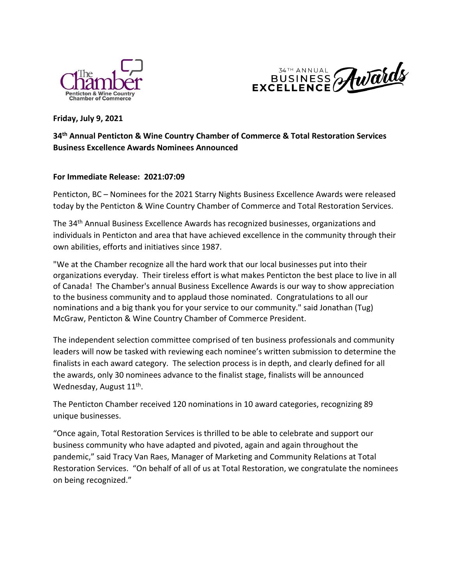



**Friday, July 9, 2021**

# **34th Annual Penticton & Wine Country Chamber of Commerce & Total Restoration Services Business Excellence Awards Nominees Announced**

## **For Immediate Release: 2021:07:09**

Penticton, BC – Nominees for the 2021 Starry Nights Business Excellence Awards were released today by the Penticton & Wine Country Chamber of Commerce and Total Restoration Services.

The 34<sup>th</sup> Annual Business Excellence Awards has recognized businesses, organizations and individuals in Penticton and area that have achieved excellence in the community through their own abilities, efforts and initiatives since 1987.

"We at the Chamber recognize all the hard work that our local businesses put into their organizations everyday. Their tireless effort is what makes Penticton the best place to live in all of Canada! The Chamber's annual Business Excellence Awards is our way to show appreciation to the business community and to applaud those nominated. Congratulations to all our nominations and a big thank you for your service to our community." said Jonathan (Tug) McGraw, Penticton & Wine Country Chamber of Commerce President.

The independent selection committee comprised of ten business professionals and community leaders will now be tasked with reviewing each nominee's written submission to determine the finalists in each award category. The selection process is in depth, and clearly defined for all the awards, only 30 nominees advance to the finalist stage, finalists will be announced Wednesday, August 11<sup>th</sup>.

The Penticton Chamber received 120 nominations in 10 award categories, recognizing 89 unique businesses.

"Once again, Total Restoration Services is thrilled to be able to celebrate and support our business community who have adapted and pivoted, again and again throughout the pandemic," said Tracy Van Raes, Manager of Marketing and Community Relations at Total Restoration Services. "On behalf of all of us at Total Restoration, we congratulate the nominees on being recognized."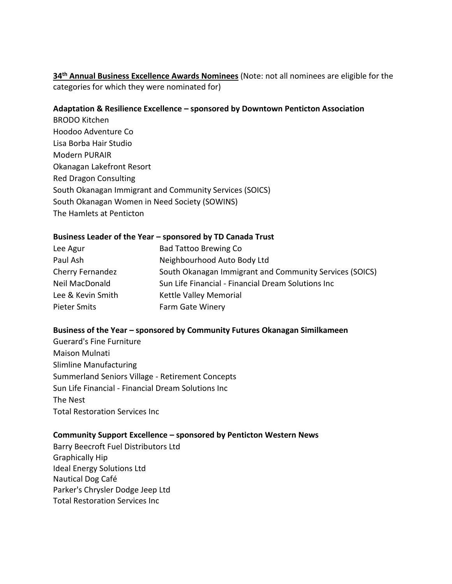**34th Annual Business Excellence Awards Nominees** (Note: not all nominees are eligible for the categories for which they were nominated for)

### **Adaptation & Resilience Excellence – sponsored by Downtown Penticton Association**

BRODO Kitchen Hoodoo Adventure Co Lisa Borba Hair Studio Modern PURAIR Okanagan Lakefront Resort Red Dragon Consulting South Okanagan Immigrant and Community Services (SOICS) South Okanagan Women in Need Society (SOWINS) The Hamlets at Penticton

### **Business Leader of the Year – sponsored by TD Canada Trust**

| Lee Agur            | <b>Bad Tattoo Brewing Co</b>                            |
|---------------------|---------------------------------------------------------|
| Paul Ash            | Neighbourhood Auto Body Ltd                             |
| Cherry Fernandez    | South Okanagan Immigrant and Community Services (SOICS) |
| Neil MacDonald      | Sun Life Financial - Financial Dream Solutions Inc      |
| Lee & Kevin Smith   | Kettle Valley Memorial                                  |
| <b>Pieter Smits</b> | Farm Gate Winery                                        |

## **Business of the Year – sponsored by Community Futures Okanagan Similkameen**

Guerard's Fine Furniture Maison Mulnati Slimline Manufacturing Summerland Seniors Village - Retirement Concepts Sun Life Financial - Financial Dream Solutions Inc The Nest Total Restoration Services Inc

#### **Community Support Excellence – sponsored by Penticton Western News**

Barry Beecroft Fuel Distributors Ltd Graphically Hip Ideal Energy Solutions Ltd Nautical Dog Café Parker's Chrysler Dodge Jeep Ltd Total Restoration Services Inc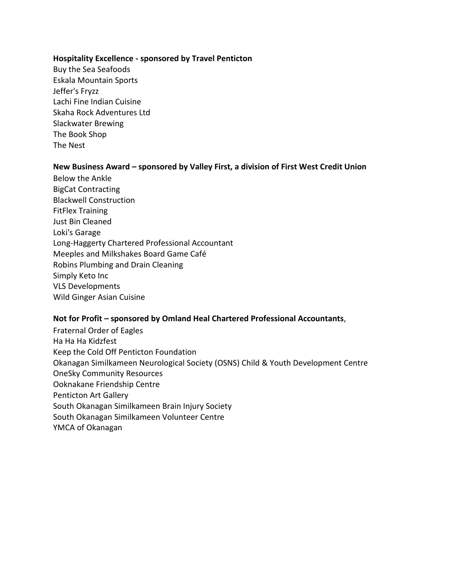#### **Hospitality Excellence - sponsored by Travel Penticton**

Buy the Sea Seafoods Eskala Mountain Sports Jeffer's Fryzz Lachi Fine Indian Cuisine Skaha Rock Adventures Ltd Slackwater Brewing The Book Shop The Nest

#### **New Business Award – sponsored by Valley First, a division of First West Credit Union**

Below the Ankle BigCat Contracting Blackwell Construction FitFlex Training Just Bin Cleaned Loki's Garage Long-Haggerty Chartered Professional Accountant Meeples and Milkshakes Board Game Café Robins Plumbing and Drain Cleaning Simply Keto Inc VLS Developments Wild Ginger Asian Cuisine

#### **Not for Profit – sponsored by Omland Heal Chartered Professional Accountants**,

Fraternal Order of Eagles Ha Ha Ha Kidzfest Keep the Cold Off Penticton Foundation Okanagan Similkameen Neurological Society (OSNS) Child & Youth Development Centre OneSky Community Resources Ooknakane Friendship Centre Penticton Art Gallery South Okanagan Similkameen Brain Injury Society South Okanagan Similkameen Volunteer Centre YMCA of Okanagan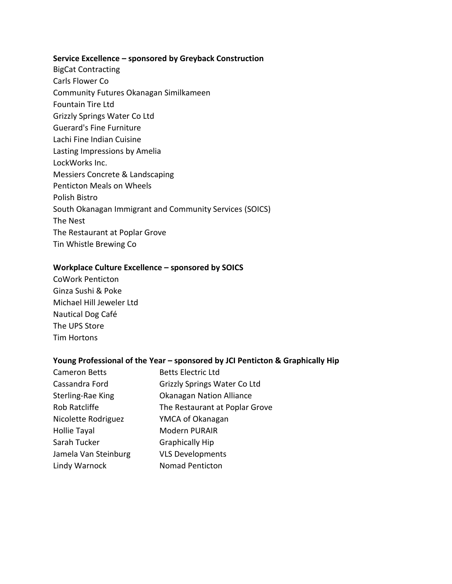#### **Service Excellence – sponsored by Greyback Construction**

- BigCat Contracting
- Carls Flower Co
- Community Futures Okanagan Similkameen
- Fountain Tire Ltd
- Grizzly Springs Water Co Ltd
- Guerard's Fine Furniture
- Lachi Fine Indian Cuisine
- Lasting Impressions by Amelia
- LockWorks Inc.
- Messiers Concrete & Landscaping
- Penticton Meals on Wheels
- Polish Bistro
- South Okanagan Immigrant and Community Services (SOICS)
- The Nest
- The Restaurant at Poplar Grove
- Tin Whistle Brewing Co

## **Workplace Culture Excellence – sponsored by SOICS**

CoWork Penticton Ginza Sushi & Poke Michael Hill Jeweler Ltd Nautical Dog Café The UPS Store Tim Hortons

## **Young Professional of the Year – sponsored by JCI Penticton & Graphically Hip**

| <b>Cameron Betts</b> | <b>Betts Electric Ltd</b>           |
|----------------------|-------------------------------------|
| Cassandra Ford       | <b>Grizzly Springs Water Co Ltd</b> |
| Sterling-Rae King    | <b>Okanagan Nation Alliance</b>     |
| Rob Ratcliffe        | The Restaurant at Poplar Grove      |
| Nicolette Rodriguez  | YMCA of Okanagan                    |
| <b>Hollie Tayal</b>  | <b>Modern PURAIR</b>                |
| Sarah Tucker         | <b>Graphically Hip</b>              |
| Jamela Van Steinburg | <b>VLS Developments</b>             |
| Lindy Warnock        | <b>Nomad Penticton</b>              |